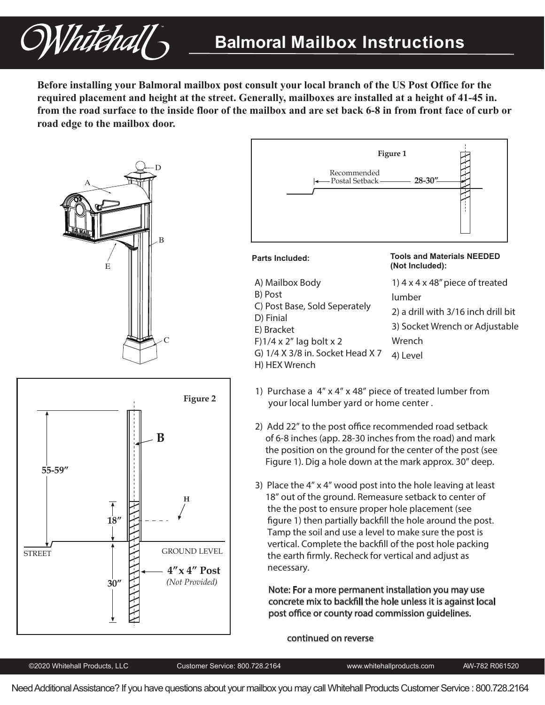

**Before installing your Balmoral mailbox post consult your local branch of the US Post Office for the required placement and height at the street. Generally, mailboxes are installed at a height of 41-45 in. from the road surface to the inside floor of the mailbox and are set back 6-8 in from front face of curb or road edge to the mailbox door.**







### **Parts Included: Tools and Materials NEEDED**

| <b>TUUTS ANU MALGHAIS NLLULU</b> |  |
|----------------------------------|--|
| (Not Included):                  |  |
|                                  |  |

- 1) 4 x 4 x 48" piece of treated lumber 2) a drill with 3/16 inch drill bit 3) Socket Wrench or Adjustable **Wrench** 4) Level A) Mailbox Body B) Post C) Post Base, Sold Seperately D) Finial E) Bracket F $\frac{1}{4}$  x 2" lag bolt x 2 G) 1/4 X 3/8 in. Socket Head X 7 H) HEX Wrench
- 1) Purchase a 4" x 4" x 48" piece of treated lumber from your local lumber yard or home center .
- 2) Add 22" to the post office recommended road setback of 6-8 inches (app. 28-30 inches from the road) and mark the position on the ground for the center of the post (see Figure 1). Dig a hole down at the mark approx. 30" deep.
- 3) Place the 4" x 4" wood post into the hole leaving at least 18" out of the ground. Remeasure setback to center of the the post to ensure proper hole placement (see figure 1) then partially backfill the hole around the post. Tamp the soil and use a level to make sure the post is vertical. Complete the backfill of the post hole packing the earth firmly. Recheck for vertical and adjust as necessary.

Note: For a more permanent installation you may use concrete mix to backfill the hole unless it is against local post office or county road commission guidelines.

#### continued on reverse